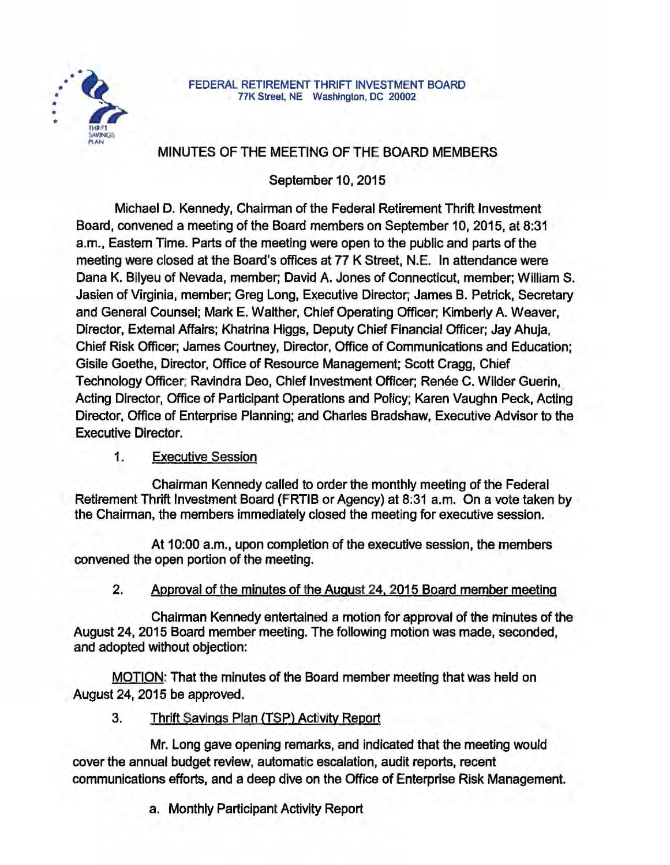

#### FEDERAL RETIREMENT THRIFT INVESTMENT BOARD 77K Street, NE Washington, DC 20002

# MINUTES OF THE MEETING OF THE BOARD MEMBERS

September 10, 2015

Michael D. Kennedy, Chairman of the Federal Retirement Thrift Investment Board, convened a meeting of the Board members on September 10, 2015, at 8:31 a.m., Eastern Time. Parts of the meeting were open to the public and parts of the meeting were closed at the Board's offices at 77 K Street, N.E. In attendance were Dana K. Bilyeu of Nevada, member; David A. Jones of Connecticut, member; William S. Jasien of Virginia, member; Greg Long, Executive Director, James B. Petrick, Secretary and General Counsel; Mark E. Walther, Chief Operating Officer: Kimberly A. Weaver, Director, External Affairs; Khatrina Higgs, Deputy Chief Financial Officer; Jay Ahuja, Chief Risk Officer, James Courtney, Director, Office of Communications and Education; Gisile Goethe, Director, Office of Resource Management; Scott Cragg, Chief Technology Officer; Ravindra Deo, Chief Investment Officer; Renée C. Wilder Guerin, Acting Director, Office of Participant Operations and Policy; Karen Vaughn Peck, Acting Director, Office of Enterprise Planning; and Charles Bradshaw, Executive Advisor to the Executive Director.

## 1. Executive Session

Chairman Kennedy called to order the monthly meeting of the Federal Retirement Thrift Investment Board (FRTIB or Agency) at 8:31 a.m. On a vote taken by the Chairman, the members immediately closed the meeting for executive session.

At 10:00 a.m., upon completion of the executive session, the members convened the open portion of the meeting.

## 2. Approval of the minutes of the August 24. 2015 Board member meeting

Chairman Kennedy entertained a motion for approval of the minutes of the August 24, 2015 Board member meeting. The following motion was made, seconded, and adopted without objection:

MOTION: That the minutes of the Board member meeting that was held on August 24, 2015 be approved.

## 3. Thrift Savings Plan (TSP) Activity Report

Mr. Long gave opening remarks, and indicated that the meeting would cover the annual budget review, automatic escalation, audit reports, recent communicatlohs efforts, and a deep dive on the Office of Enterprise Risk Management.

a. Monthly Participant Activity Report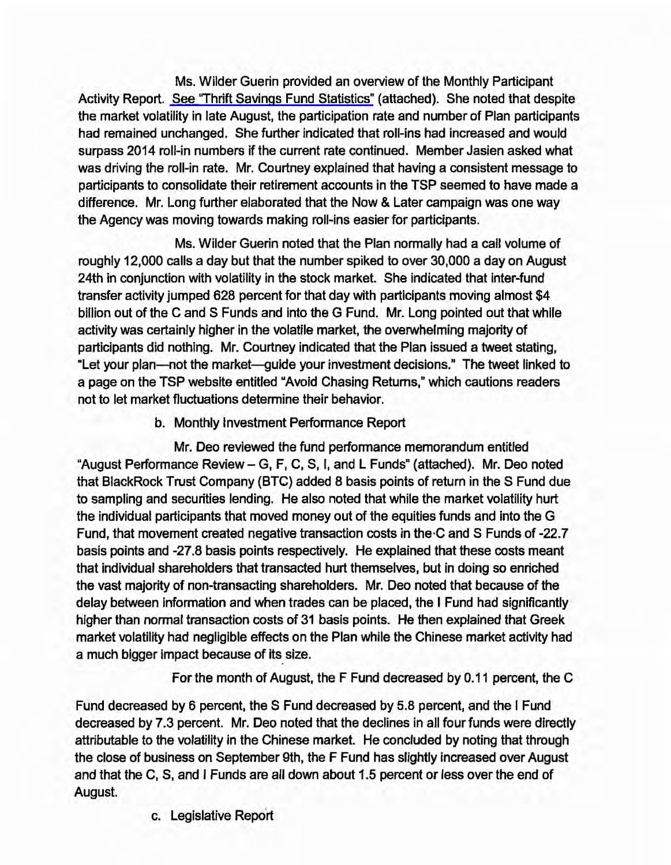Ms. Wilder Guerin provided an overview of the Monthly Participant Activity Report. [See 'Thrift Savings Fund Statistics"](http://www.frtib.gov/pdf/minutes/MM-2015Sep-Att1.pdf) (attached). She noted that despite the market volatility in late August. the participation rate and number of Plan participants had remained unchanged. She further indicated that roll-ins had increased and would surpass 2014 roll-in numbers if the current rate continued. Member Jasien asked what was driving the roll-in rate. Mr. Courtney explained that having a consistent message to participants to consolidate their retirement accounts in the TSP seemed to have made a difference. Mr. Long further elaborated that the Now & Later campaign was one way the Agency was moving towards making roll-ins easier for participants.

Ms. Wilder Guerin noted that the Plan normally had a call volume of roughly 12,000 calls a day but that the number spiked to over 30,000 a day on August 24th in conjunction with volatility in the stock market. She indicated that inter-fund transfer activity jumped 628 percent for that day with participants moving almost \$4 billion out of the C and S Funds and Into the G Fund. Mr. Long pointed out that while activity was certainly higher in the volatile market, the overwhelming majority of participants did nothing. Mr. Courtney indicated that the Plan issued a tweet stating, ·Let your plan-not the market-guide your investment decisions." The tweet linked to a page on the TSP website entitled "Avoid Chasing Returns," which cautions readers not to let market fluctuations determine their behavior.

### b. Monthly Investment Performance Report

Mr. Deo reviewed the fund performance memorandum entitled "August Performance Review- G. F, C, S, I, and L Funds" (attached). Mr. Deo noted that BlackRock Trust Company (BTC) added 8 basis points of return in the S Fund due to sampling and securities lending. He also noted that while the market volatility hurt the individual participants that moved money out of the equities funds and into the G Fund, that movement created negative transaction costs in the·C and S Funds of -22.7 basis points and -27.8 basis points respectively. He explained that these costs meant that individual shareholders that transacted hurt themselves, but in doing so enriched the vast majority of non-transacting shareholders. Mr. Deo noted that because of the delay between information and when trades can be placed, the I Fund had significantly higher than normal transaction costs of 31 basis points. He then explained that Greek market volatility had negligible effects on the Plan while the Chinese market activity had a much bigger impact because of its size.

For the month of August, the F Fund decreased by 0.11 percent, the C

Fund decreased by 6 percent, the S Fund decreased by 5.8 percent, and the I Fund decreased by 7.3 percent. Mr. Deo noted that the declines in all four funds were directly attributable to the volatility in the Chinese market. He concluded by noting that through the close of business on September 9th, the F Fund has slightly increased over August and that the C, S, and I Funds are all down about 1.5 percent or less over the end of August.

c. Legislative Report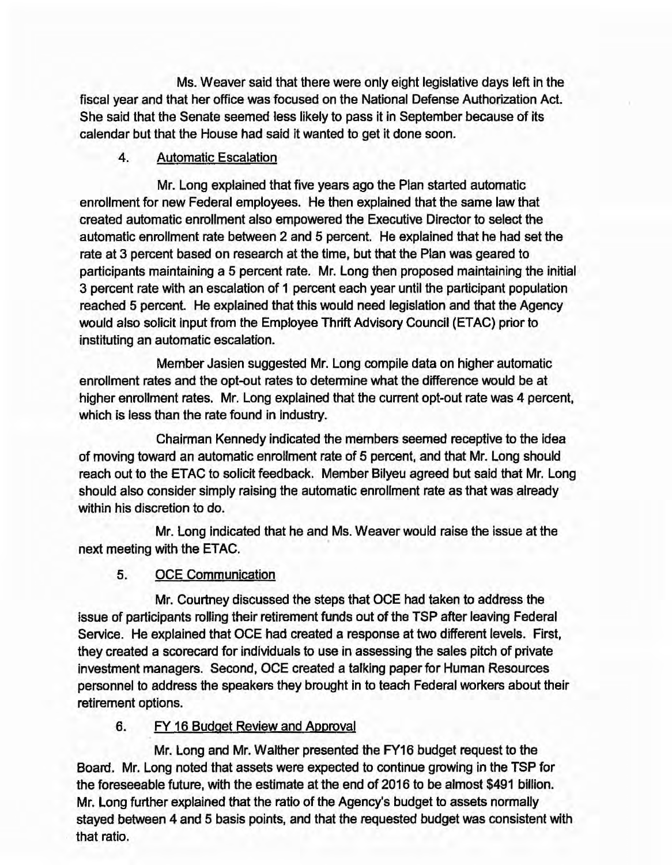Ms. Weaver said that there were only eight legislative days left in the fiscal year and that her office was focused on the National Defense Authorization Act. She said that the Senate seemed less likely to pass it in September because of its calendar but that the House had said it wanted to get it done soon.

### 4. Automatic Escalation

Mr. Long explained that five years ago the Plan started automatic enrollment for new Federal employees. He then explained that the same law that created automatic enrollment also empowered the Executive Director to select the automatic enrollment rate between 2 and 5 percent. He explained that he had set the rate at 3 percent based on research at the time, but that the Plan was geared to participants maintaining a 5 percent rate. Mr. Long then proposed maintaining the initial 3 percent rate with an escalation of 1 percent each year until the participant population reached 5 percent. He explained that this would need legislation and that the Agency would also solicit Input from the Employee Thrift Advisory Council (ETAC) prior to instituting an automatic escalation.

Member Jasien suggested Mr. Long compile data on higher automatic enrollment rates and the opt-out rates to determine what the difference would be at higher enrollment rates. Mr. Long explained that the current opt-out rate was 4 percent, which is less than the rate found in industry.

Chairman Kennedy indicated the members seemed receptive to the idea of moving toward an automatic enrollment rate of 5 percent, and that Mr. Long should reach out to the ETAC to solicit feedback. Member Bilyeu agreed but said that Mr. Long should also consider simply raising the automatic enrollment rate as that was already within his discretion to do.

Mr. Long Indicated that he and Ms. Weaver would raise the issue at the next meeting with the ETAC.

## 5. OCE Communication

Mr. Courtney discussed the steps that OCE had taken to address the issue of participants rolling their retirement funds out of the TSP after leaving Federal Service. He explained that OCE had created a response at two different levels. First, they created a scorecard for individuals to use in assessing the sales pitch of private investment managers. Second, OCE created a talking paper for Human Resources personnel to address the speakers they brought in to teach Federal workers about their retirement options.

## 6. FY 16 Budget Review and Approval

Mr. Long and Mr. Walther presented the FY16 budget request to the Board. Mr. Long noted that assets were expected to continue growing in the TSP for the foreseeable future, with the estimate at the end of 2016 to be almost \$491 billion. Mr. Long further explained that the ratio of the Agency's budget to assets normally stayed between 4 and 5 basis points, and that the requested budget was consistent with that ratio.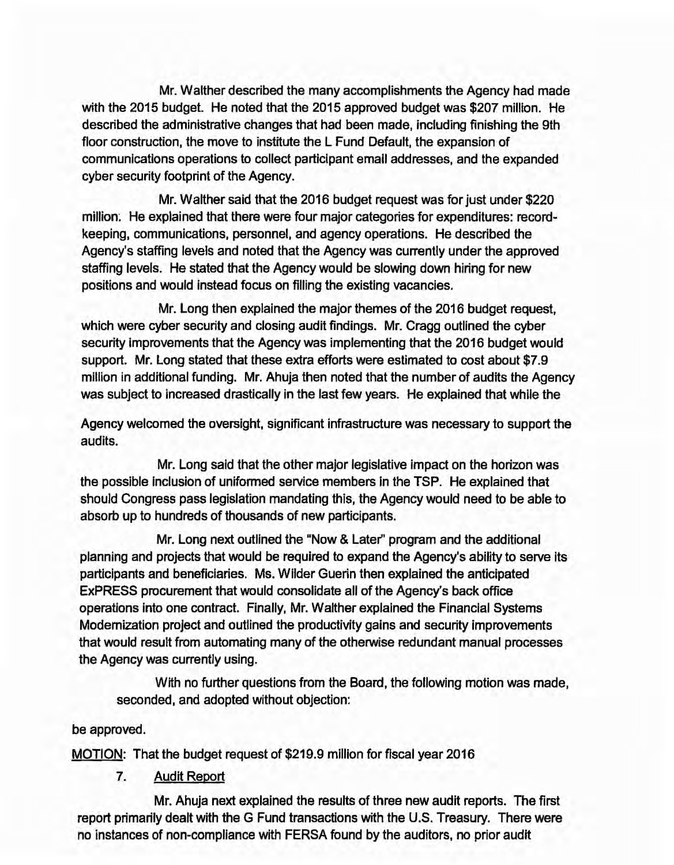Mr. Walther described the many accomplishments the Agency had made with the 2015 budget. He noted that the 2015 approved budget was \$207 million. He described the administrative changes that had been made, including finishing the 9th floor construction, the move to institute the L Fund Default, the expansion of communications operations to collect participant email addresses, and the expanded cyber security footprint of the Agency.

Mr. Walther said that the 2016 budget request was for just under \$220 million: He explained that there were four major categories for expenditures: recordkeeping, communications, personnel, and agency operations. He described the Agency's staffing levels and noted that the Agency was currently under the approved staffing levels. He stated that the Agency would be slowing down hiring for new positions and would instead focus on filling the existing vacancies.

Mr. Long then explained the major themes of the 2016 budget request, which were cyber security and closing audit findings. Mr. Cragg outlined the cyber security improvements that the Agency was implementing that the 2016 budget would support. Mr. Long stated that these extra efforts were estimated to cost about \$7 .9 million in additional funding. Mr. Ahuja then noted that the number of audits the Agency was subject to increased drastically in the last few years. He explained that while the

Agency welcomed the oversight, significant infrastructure was necessary to support the audits.

Mr. Long said that the other major legislative impact on the horizon was the possible inclusion of uniformed service members In the TSP. He explained that should Congress pass legislation mandating this, the Agency would need to be able to absorb up to hundreds of thousands of new participants.

Mr. Long next outlined the "Now & Later'' program and the additional planning and projects that would be required to expand the Agency's ability to serve its participants and beneficiaries. Ms. Wilder Guerin then explained the anticipated ExPRESS procurement that would consolidate all of the Agency's back office operations into one contract. Finally, Mr. Walther explained the Financial Systems Modernization project and outlined the productivity gains and security improvements that would result from automating many of the otherwise redundant manual processes the Agency was currently using.

With no further questions from the Board, the following motion was made, seconded, and adopted without objection:

#### be approved.

MOTION: That the budget request of \$219.9 million for fiscal year 2016

### 7. Audit Report

Mr. Ahuja next explained the results of three new audit reports. The first report primarily dealt with the G Fund transactions with the U.S. Treasury. There were no instances of non-compliance with FERSA found by the auditors, no prior audit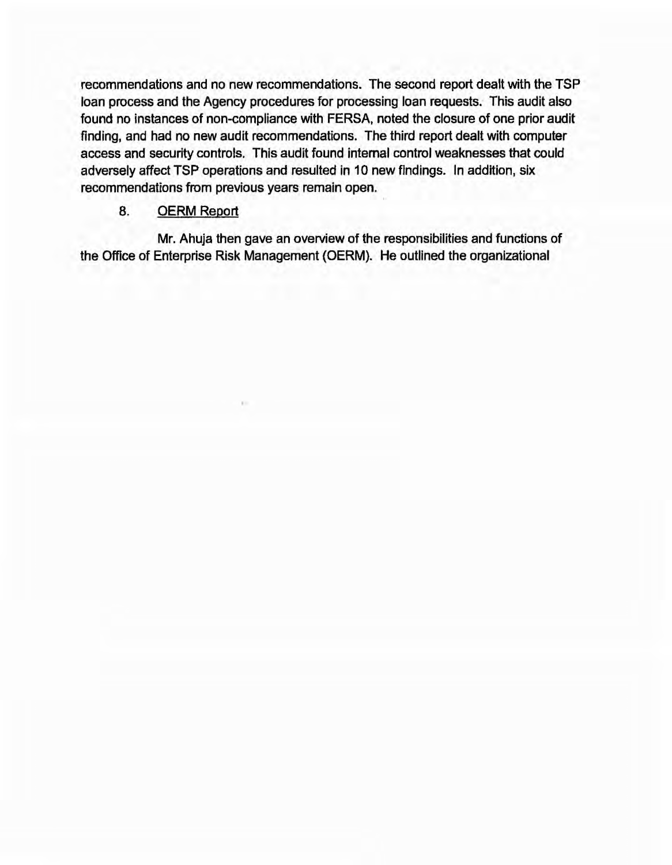recommendations and no new recommendations. The second report dealt with the TSP loan process and the Agency procedures for processing loan requests. This audit also found no instances of non-compliance with FERSA, noted the closure of one prior audit finding, and had no new audit recommendations. The third report dealt with computer access and security controls. This audit found internal control weaknesses that could adversely affect TSP operations and resulted in 10 new findings. In addition, six recommendations from previous years remain open.

#### 8. OERM Report

Mr. Ahuja then gave an overview of the responsibilities and functions of the Office of Enterprise Risk Management {OERM). He outlined the organizational